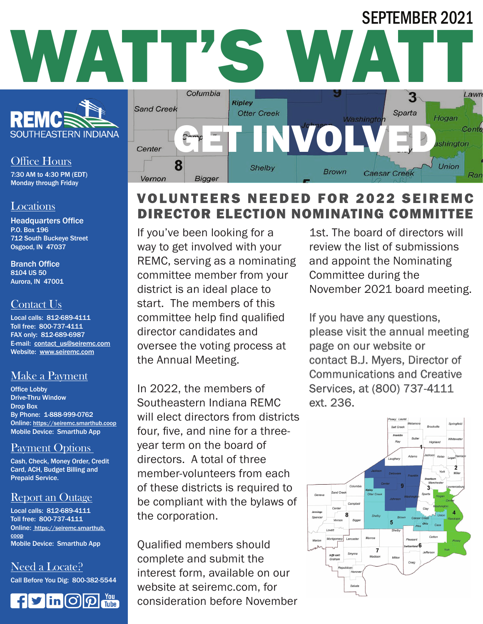

#### Office Hours

7:30 AM to 4:30 PM (EDT) Monday through Friday

#### **Locations**

Headquarters Office P.O. Box 196 712 South Buckeye Street Osgood, IN 47037

Branch Office 8104 US 50 Aurora, IN 47001

# Contact Us

Local calls: 812-689-4111 Toll free: 800-737-4111 FAX only: 812-689-6987 E-mail: contact\_us@seiremc.com Website: www.seiremc.com

# Make a Payment

Office Lobby Drive-Thru Window Drop Box By Phone: 1-888-999-0762 Online: https://seiremc.smarthub.coop Mobile Device: Smarthub App

# Payment Options

Cash, Check, Money Order, Credit Card, ACH, Budget Billing and Prepaid Service.

# Report an Outage

Local calls: 812-689-4111 Toll free: 800-737-4111 Online: https://seiremc.smarthub. coop Mobile Device: Smarthub App

Need a Locate?

Call Before You Dig: 800-382-5544





# VOLUNTEERS NEEDED FOR 2022 SEI DIRECTOR ELECTION NOMINATING COMMITTEE

If you've been looking for a way to get involved with your REMC, serving as a nominating committee member from your district is an ideal place to start. The members of this committee help find qualified director candidates and oversee the voting process at the Annual Meeting.

In 2022, the members of Southeastern Indiana REMC will elect directors from districts four, five, and nine for a threeyear term on the board of directors. A total of three member-volunteers from each of these districts is required to be compliant with the bylaws of the corporation.

Qualified members should complete and submit the interest form, available on our website at seiremc.com, for consideration before November

1st. The board of directors will review the list of submissions and appoint the Nominating Committee during the November 2021 board meeting.

SEPTEMBER 2021

If you have any questions, please visit the annual meeting page on our website or contact B.J. Myers, Director of Communications and Creative Services, at (800) 737-4111 ext. 236.